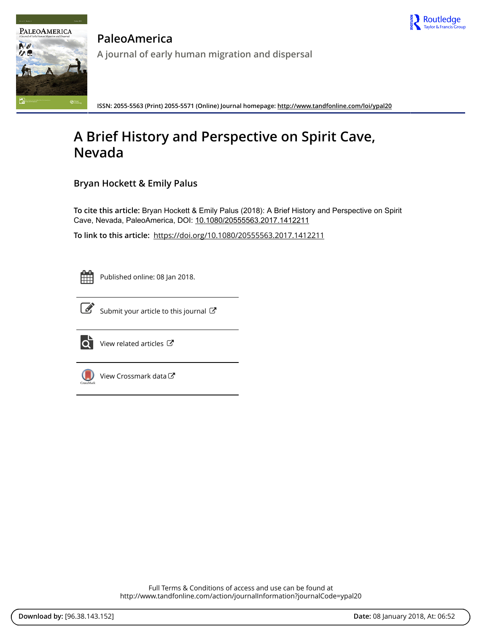



**PaleoAmerica A journal of early human migration and dispersal**

**ISSN: 2055-5563 (Print) 2055-5571 (Online) Journal homepage:<http://www.tandfonline.com/loi/ypal20>**

# **A Brief History and Perspective on Spirit Cave, Nevada**

**Bryan Hockett & Emily Palus**

**To cite this article:** Bryan Hockett & Emily Palus (2018): A Brief History and Perspective on Spirit Cave, Nevada, PaleoAmerica, DOI: [10.1080/20555563.2017.1412211](http://www.tandfonline.com/action/showCitFormats?doi=10.1080/20555563.2017.1412211)

**To link to this article:** <https://doi.org/10.1080/20555563.2017.1412211>



Published online: 08 Jan 2018.



 $\overrightarrow{S}$  [Submit your article to this journal](http://www.tandfonline.com/action/authorSubmission?journalCode=ypal20&show=instructions)  $\overrightarrow{S}$ 



[View related articles](http://www.tandfonline.com/doi/mlt/10.1080/20555563.2017.1412211) C



[View Crossmark data](http://crossmark.crossref.org/dialog/?doi=10.1080/20555563.2017.1412211&domain=pdf&date_stamp=2018-01-08)<sup>で</sup>

Full Terms & Conditions of access and use can be found at <http://www.tandfonline.com/action/journalInformation?journalCode=ypal20>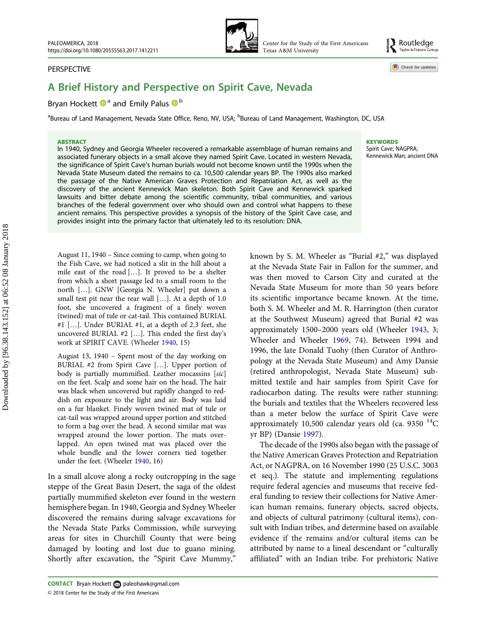#### <span id="page-1-0"></span>PERSPECTIVE

# A Brief History and Perspective on Spirit Cave, Nevada

# Bryan Hockett <sup>a</sup> and Emily Palus <sup>b</sup>

<sup>a</sup>Bureau of Land Management, Nevada State Office, Reno, NV, USA; <sup>b</sup>Bureau of Land Management, Washington, DC, USA

#### ABSTRACT

In 1940, Sydney and Georgia Wheeler recovered a remarkable assemblage of human remains and associated funerary objects in a small alcove they named Spirit Cave. Located in western Nevada, the significance of Spirit Cave's human burials would not become known until the 1990s when the Nevada State Museum dated the remains to ca. 10,500 calendar years BP. The 1990s also marked the passage of the Native American Graves Protection and Repatriation Act, as well as the discovery of the ancient Kennewick Man skeleton. Both Spirit Cave and Kennewick sparked lawsuits and bitter debate among the scientific community, tribal communities, and various branches of the federal government over who should own and control what happens to these ancient remains. This perspective provides a synopsis of the history of the Spirit Cave case, and provides insight into the primary factor that ultimately led to its resolution: DNA.

August 11, 1940 – Since coming to camp, when going to the Fish Cave, we had noticed a slit in the hill about a mile east of the road […]. It proved to be a shelter from which a short passage led to a small room to the north […]. GNW [Georgia N. Wheeler] put down a small test pit near the rear wall […]. At a depth of 1.0 foot, she uncovered a fragment of a finely woven (twined) mat of tule or cat-tail. This contained BURIAL #1 […]. Under BURIAL #1, at a depth of 2.3 feet, she uncovered BURIAL #2 […]. This ended the first day's work at SPIRIT CAVE. (Wheeler [1940,](#page-7-0) 15)

August 13, 1940 – Spent most of the day working on BURIAL #2 from Spirit Cave […]. Upper portion of body is partially mummified. Leather mocassins [sic] on the feet. Scalp and some hair on the head. The hair was black when uncovered but rapidly changed to reddish on exposure to the light and air. Body was laid on a fur blanket. Finely woven twined mat of tule or cat-tail was wrapped around upper portion and stitched to form a bag over the head. A second similar mat was wrapped around the lower portion. The mats overlapped. An open twined mat was placed over the whole bundle and the lower corners tied together under the feet. (Wheeler [1940,](#page-7-0) 16)

In a small alcove along a rocky outcropping in the sage steppe of the Great Basin Desert, the saga of the oldest partially mummified skeleton ever found in the western hemisphere began. In 1940, Georgia and Sydney Wheeler discovered the remains during salvage excavations for the Nevada State Parks Commission, while surveying areas for sites in Churchill County that were being damaged by looting and lost due to guano mining. Shortly after excavation, the "Spirit Cave Mummy,"

known by S. M. Wheeler as "Burial #2," was displayed at the Nevada State Fair in Fallon for the summer, and was then moved to Carson City and curated at the Nevada State Museum for more than 50 years before its scientific importance became known. At the time, both S. M. Wheeler and M. R. Harrington (then curator at the Southwest Museum) agreed that Burial #2 was approximately 1500–2000 years old (Wheeler [1943](#page-7-0), 3; Wheeler and Wheeler [1969](#page-7-0), 74). Between 1994 and 1996, the late Donald Tuohy (then Curator of Anthropology at the Nevada State Museum) and Amy Dansie (retired anthropologist, Nevada State Museum) submitted textile and hair samples from Spirit Cave for radiocarbon dating. The results were rather stunning: the burials and textiles that the Wheelers recovered less than a meter below the surface of Spirit Cave were approximately 10,500 calendar years old (ca. 9350 $^{14}$ C yr BP) (Dansie [1997\)](#page-6-0).

The decade of the 1990s also began with the passage of the Native American Graves Protection and Repatriation Act, or NAGPRA, on 16 November 1990 (25 U.S.C. 3003 et seq.). The statute and implementing regulations require federal agencies and museums that receive federal funding to review their collections for Native American human remains, funerary objects, sacred objects, and objects of cultural patrimony (cultural items), consult with Indian tribes, and determine based on available evidence if the remains and/or cultural items can be attributed by name to a lineal descendant or "culturally affiliated" with an Indian tribe. For prehistoric Native

**KEYWORDS** 

Spirit Cave; NAGPRA; Kennewick Man; ancient DNA

Downloaded by [96.38.143.152] at 06:52 08 January 2018

Downloaded by [96.38.143.152] at 06:52 08 January 2018





Check for updates

<sup>© 2018</sup> Center for the Study of the First Americans CONTACT Bryan Hockett a [paleohawk@gmail.com](mailto:paleohawk@gmail.com)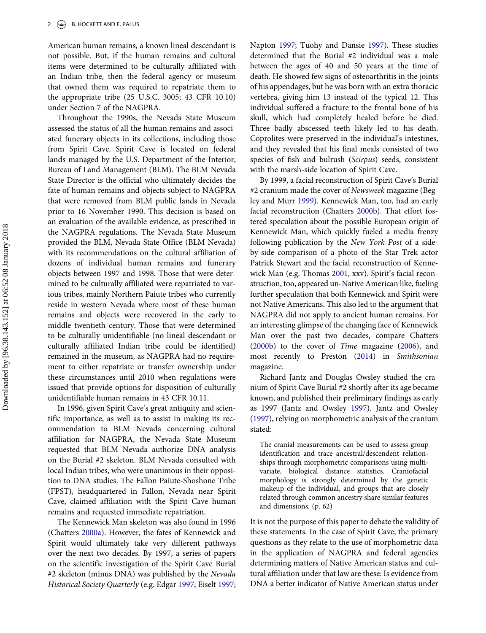<span id="page-2-0"></span>American human remains, a known lineal descendant is not possible. But, if the human remains and cultural items were determined to be culturally affiliated with an Indian tribe, then the federal agency or museum that owned them was required to repatriate them to the appropriate tribe (25 U.S.C. 3005; 43 CFR 10.10) under Section 7 of the NAGPRA.

Throughout the 1990s, the Nevada State Museum assessed the status of all the human remains and associated funerary objects in its collections, including those from Spirit Cave. Spirit Cave is located on federal lands managed by the U.S. Department of the Interior, Bureau of Land Management (BLM). The BLM Nevada State Director is the official who ultimately decides the fate of human remains and objects subject to NAGPRA that were removed from BLM public lands in Nevada prior to 16 November 1990. This decision is based on an evaluation of the available evidence, as prescribed in the NAGPRA regulations. The Nevada State Museum provided the BLM, Nevada State Office (BLM Nevada) with its recommendations on the cultural affiliation of dozens of individual human remains and funerary objects between 1997 and 1998. Those that were determined to be culturally affiliated were repatriated to various tribes, mainly Northern Paiute tribes who currently reside in western Nevada where most of these human remains and objects were recovered in the early to middle twentieth century. Those that were determined to be culturally unidentifiable (no lineal descendant or culturally affiliated Indian tribe could be identified) remained in the museum, as NAGPRA had no requirement to either repatriate or transfer ownership under these circumstances until 2010 when regulations were issued that provide options for disposition of culturally unidentifiable human remains in 43 CFR 10.11.

In 1996, given Spirit Cave's great antiquity and scientific importance, as well as to assist in making its recommendation to BLM Nevada concerning cultural affiliation for NAGPRA, the Nevada State Museum requested that BLM Nevada authorize DNA analysis on the Burial #2 skeleton. BLM Nevada consulted with local Indian tribes, who were unanimous in their opposition to DNA studies. The Fallon Paiute-Shoshone Tribe (FPST), headquartered in Fallon, Nevada near Spirit Cave, claimed affiliation with the Spirit Cave human remains and requested immediate repatriation.

The Kennewick Man skeleton was also found in 1996 (Chatters [2000a](#page-6-0)). However, the fates of Kennewick and Spirit would ultimately take very different pathways over the next two decades. By 1997, a series of papers on the scientific investigation of the Spirit Cave Burial #2 skeleton (minus DNA) was published by the Nevada Historical Society Quarterly (e.g. Edgar [1997](#page-6-0); Eiselt [1997](#page-6-0);

Napton [1997;](#page-7-0) Tuohy and Dansie [1997\)](#page-7-0). These studies determined that the Burial #2 individual was a male between the ages of 40 and 50 years at the time of death. He showed few signs of osteoarthritis in the joints of his appendages, but he was born with an extra thoracic vertebra, giving him 13 instead of the typical 12. This individual suffered a fracture to the frontal bone of his skull, which had completely healed before he died. Three badly abscessed teeth likely led to his death. Coprolites were preserved in the individual's intestines, and they revealed that his final meals consisted of two species of fish and bulrush (Scirpus) seeds, consistent with the marsh-side location of Spirit Cave.

By 1999, a facial reconstruction of Spirit Cave's Burial #2 cranium made the cover of Newsweek magazine (Begley and Murr [1999\)](#page-6-0). Kennewick Man, too, had an early facial reconstruction (Chatters [2000b](#page-6-0)). That effort fostered speculation about the possible European origin of Kennewick Man, which quickly fueled a media frenzy following publication by the New York Post of a sideby-side comparison of a photo of the Star Trek actor Patrick Stewart and the facial reconstruction of Kennewick Man (e.g. Thomas [2001](#page-7-0), xxv). Spirit's facial reconstruction, too, appeared un-Native American like, fueling further speculation that both Kennewick and Spirit were not Native Americans. This also led to the argument that NAGPRA did not apply to ancient human remains. For an interesting glimpse of the changing face of Kennewick Man over the past two decades, compare Chatters [\(2000b\)](#page-6-0) to the cover of Time magazine [\(2006](#page-7-0)), and most recently to Preston ([2014\)](#page-7-0) in Smithsonian magazine.

Richard Jantz and Douglas Owsley studied the cranium of Spirit Cave Burial #2 shortly after its age became known, and published their preliminary findings as early as 1997 (Jantz and Owsley [1997](#page-6-0)). Jantz and Owsley [\(1997](#page-6-0)), relying on morphometric analysis of the cranium stated:

The cranial measurements can be used to assess group identification and trace ancestral/descendent relationships through morphometric comparisons using multivariate, biological distance statistics. Craniofacial morphology is strongly determined by the genetic makeup of the individual, and groups that are closely related through common ancestry share similar features and dimensions. (p. 62)

It is not the purpose of this paper to debate the validity of these statements. In the case of Spirit Cave, the primary questions as they relate to the use of morphometric data in the application of NAGPRA and federal agencies determining matters of Native American status and cultural affiliation under that law are these: Is evidence from DNA a better indicator of Native American status under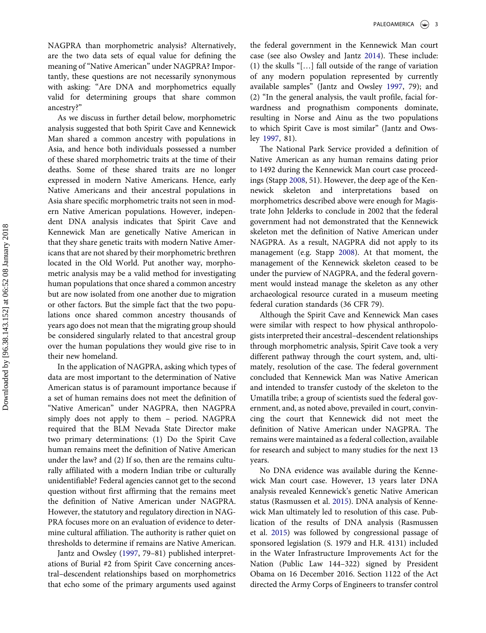<span id="page-3-0"></span>NAGPRA than morphometric analysis? Alternatively, are the two data sets of equal value for defining the meaning of "Native American" under NAGPRA? Importantly, these questions are not necessarily synonymous with asking: "Are DNA and morphometrics equally valid for determining groups that share common ancestry?"

As we discuss in further detail below, morphometric analysis suggested that both Spirit Cave and Kennewick Man shared a common ancestry with populations in Asia, and hence both individuals possessed a number of these shared morphometric traits at the time of their deaths. Some of these shared traits are no longer expressed in modern Native Americans. Hence, early Native Americans and their ancestral populations in Asia share specific morphometric traits not seen in modern Native American populations. However, independent DNA analysis indicates that Spirit Cave and Kennewick Man are genetically Native American in that they share genetic traits with modern Native Americans that are not shared by their morphometric brethren located in the Old World. Put another way, morphometric analysis may be a valid method for investigating human populations that once shared a common ancestry but are now isolated from one another due to migration or other factors. But the simple fact that the two populations once shared common ancestry thousands of years ago does not mean that the migrating group should be considered singularly related to that ancestral group over the human populations they would give rise to in their new homeland.

In the application of NAGPRA, asking which types of data are most important to the determination of Native American status is of paramount importance because if a set of human remains does not meet the definition of "Native American" under NAGPRA, then NAGPRA simply does not apply to them – period. NAGPRA required that the BLM Nevada State Director make two primary determinations: (1) Do the Spirit Cave human remains meet the definition of Native American under the law? and (2) If so, then are the remains culturally affiliated with a modern Indian tribe or culturally unidentifiable? Federal agencies cannot get to the second question without first affirming that the remains meet the definition of Native American under NAGPRA. However, the statutory and regulatory direction in NAG-PRA focuses more on an evaluation of evidence to determine cultural affiliation. The authority is rather quiet on thresholds to determine if remains are Native American.

Jantz and Owsley [\(1997](#page-6-0), 79–81) published interpretations of Burial #2 from Spirit Cave concerning ancestral–descendent relationships based on morphometrics that echo some of the primary arguments used against the federal government in the Kennewick Man court case (see also Owsley and Jantz [2014](#page-7-0)). These include: (1) the skulls "[…] fall outside of the range of variation of any modern population represented by currently available samples" (Jantz and Owsley [1997,](#page-6-0) 79); and (2) "In the general analysis, the vault profile, facial forwardness and prognathism components dominate, resulting in Norse and Ainu as the two populations to which Spirit Cave is most similar" (Jantz and Owsley [1997,](#page-6-0) 81).

The National Park Service provided a definition of Native American as any human remains dating prior to 1492 during the Kennewick Man court case proceedings (Stapp [2008,](#page-7-0) 51). However, the deep age of the Kennewick skeleton and interpretations based on morphometrics described above were enough for Magistrate John Jelderks to conclude in 2002 that the federal government had not demonstrated that the Kennewick skeleton met the definition of Native American under NAGPRA. As a result, NAGPRA did not apply to its management (e.g. Stapp [2008\)](#page-7-0). At that moment, the management of the Kennewick skeleton ceased to be under the purview of NAGPRA, and the federal government would instead manage the skeleton as any other archaeological resource curated in a museum meeting federal curation standards (36 CFR 79).

Although the Spirit Cave and Kennewick Man cases were similar with respect to how physical anthropologists interpreted their ancestral–descendent relationships through morphometric analysis, Spirit Cave took a very different pathway through the court system, and, ultimately, resolution of the case. The federal government concluded that Kennewick Man was Native American and intended to transfer custody of the skeleton to the Umatilla tribe; a group of scientists sued the federal government, and, as noted above, prevailed in court, convincing the court that Kennewick did not meet the definition of Native American under NAGPRA. The remains were maintained as a federal collection, available for research and subject to many studies for the next 13 years.

No DNA evidence was available during the Kennewick Man court case. However, 13 years later DNA analysis revealed Kennewick's genetic Native American status (Rasmussen et al. [2015](#page-7-0)). DNA analysis of Kennewick Man ultimately led to resolution of this case. Publication of the results of DNA analysis (Rasmussen et al. [2015](#page-7-0)) was followed by congressional passage of sponsored legislation (S. 1979 and H.R. 4131) included in the Water Infrastructure Improvements Act for the Nation (Public Law 144–322) signed by President Obama on 16 December 2016. Section 1122 of the Act directed the Army Corps of Engineers to transfer control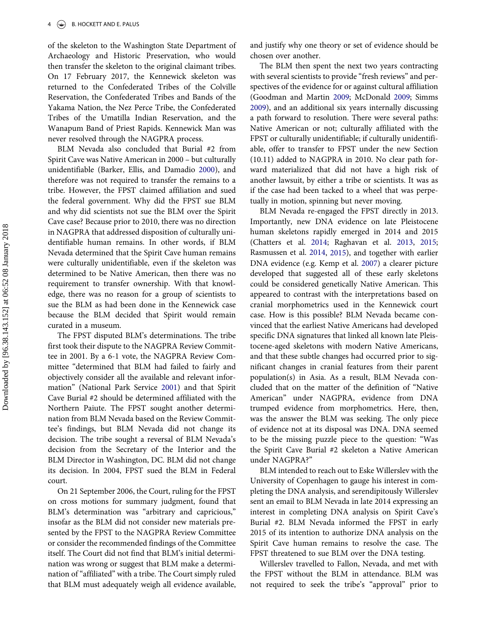<span id="page-4-0"></span>of the skeleton to the Washington State Department of Archaeology and Historic Preservation, who would then transfer the skeleton to the original claimant tribes. On 17 February 2017, the Kennewick skeleton was returned to the Confederated Tribes of the Colville Reservation, the Confederated Tribes and Bands of the Yakama Nation, the Nez Perce Tribe, the Confederated Tribes of the Umatilla Indian Reservation, and the Wanapum Band of Priest Rapids. Kennewick Man was never resolved through the NAGPRA process.

BLM Nevada also concluded that Burial #2 from Spirit Cave was Native American in 2000 – but culturally unidentifiable (Barker, Ellis, and Damadio [2000](#page-6-0)), and therefore was not required to transfer the remains to a tribe. However, the FPST claimed affiliation and sued the federal government. Why did the FPST sue BLM and why did scientists not sue the BLM over the Spirit Cave case? Because prior to 2010, there was no direction in NAGPRA that addressed disposition of culturally unidentifiable human remains. In other words, if BLM Nevada determined that the Spirit Cave human remains were culturally unidentifiable, even if the skeleton was determined to be Native American, then there was no requirement to transfer ownership. With that knowledge, there was no reason for a group of scientists to sue the BLM as had been done in the Kennewick case because the BLM decided that Spirit would remain curated in a museum.

The FPST disputed BLM's determinations. The tribe first took their dispute to the NAGPRA Review Committee in 2001. By a 6-1 vote, the NAGPRA Review Committee "determined that BLM had failed to fairly and objectively consider all the available and relevant information" (National Park Service [2001](#page-7-0)) and that Spirit Cave Burial #2 should be determined affiliated with the Northern Paiute. The FPST sought another determination from BLM Nevada based on the Review Committee's findings, but BLM Nevada did not change its decision. The tribe sought a reversal of BLM Nevada's decision from the Secretary of the Interior and the BLM Director in Washington, DC. BLM did not change its decision. In 2004, FPST sued the BLM in Federal court.

On 21 September 2006, the Court, ruling for the FPST on cross motions for summary judgment, found that BLM's determination was "arbitrary and capricious," insofar as the BLM did not consider new materials presented by the FPST to the NAGPRA Review Committee or consider the recommended findings of the Committee itself. The Court did not find that BLM's initial determination was wrong or suggest that BLM make a determination of "affiliated" with a tribe. The Court simply ruled that BLM must adequately weigh all evidence available,

and justify why one theory or set of evidence should be chosen over another.

The BLM then spent the next two years contracting with several scientists to provide "fresh reviews" and perspectives of the evidence for or against cultural affiliation (Goodman and Martin [2009;](#page-6-0) McDonald [2009](#page-6-0); Simms [2009\)](#page-7-0), and an additional six years internally discussing a path forward to resolution. There were several paths: Native American or not; culturally affiliated with the FPST or culturally unidentifiable; if culturally unidentifiable, offer to transfer to FPST under the new Section (10.11) added to NAGPRA in 2010. No clear path forward materialized that did not have a high risk of another lawsuit, by either a tribe or scientists. It was as if the case had been tacked to a wheel that was perpetually in motion, spinning but never moving.

BLM Nevada re-engaged the FPST directly in 2013. Importantly, new DNA evidence on late Pleistocene human skeletons rapidly emerged in 2014 and 2015 (Chatters et al. [2014](#page-6-0); Raghavan et al. [2013,](#page-7-0) [2015](#page-7-0); Rasmussen et al. [2014](#page-7-0), [2015](#page-7-0)), and together with earlier DNA evidence (e.g. Kemp et al. [2007](#page-6-0)) a clearer picture developed that suggested all of these early skeletons could be considered genetically Native American. This appeared to contrast with the interpretations based on cranial morphometrics used in the Kennewick court case. How is this possible? BLM Nevada became convinced that the earliest Native Americans had developed specific DNA signatures that linked all known late Pleistocene-aged skeletons with modern Native Americans, and that these subtle changes had occurred prior to significant changes in cranial features from their parent population(s) in Asia. As a result, BLM Nevada concluded that on the matter of the definition of "Native American" under NAGPRA, evidence from DNA trumped evidence from morphometrics. Here, then, was the answer the BLM was seeking. The only piece of evidence not at its disposal was DNA. DNA seemed to be the missing puzzle piece to the question: "Was the Spirit Cave Burial #2 skeleton a Native American under NAGPRA?"

BLM intended to reach out to Eske Willerslev with the University of Copenhagen to gauge his interest in completing the DNA analysis, and serendipitously Willerslev sent an email to BLM Nevada in late 2014 expressing an interest in completing DNA analysis on Spirit Cave's Burial #2. BLM Nevada informed the FPST in early 2015 of its intention to authorize DNA analysis on the Spirit Cave human remains to resolve the case. The FPST threatened to sue BLM over the DNA testing.

Willerslev travelled to Fallon, Nevada, and met with the FPST without the BLM in attendance. BLM was not required to seek the tribe's "approval" prior to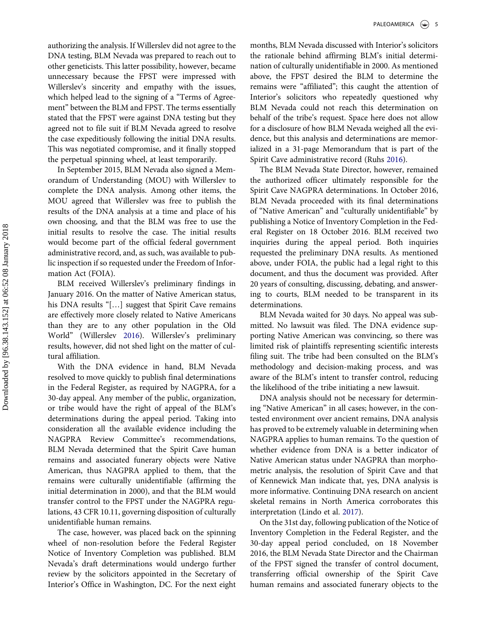<span id="page-5-0"></span>authorizing the analysis. If Willerslev did not agree to the DNA testing, BLM Nevada was prepared to reach out to other geneticists. This latter possibility, however, became unnecessary because the FPST were impressed with Willerslev's sincerity and empathy with the issues, which helped lead to the signing of a "Terms of Agreement" between the BLM and FPST. The terms essentially stated that the FPST were against DNA testing but they agreed not to file suit if BLM Nevada agreed to resolve the case expeditiously following the initial DNA results. This was negotiated compromise, and it finally stopped the perpetual spinning wheel, at least temporarily.

In September 2015, BLM Nevada also signed a Memorandum of Understanding (MOU) with Willerslev to complete the DNA analysis. Among other items, the MOU agreed that Willerslev was free to publish the results of the DNA analysis at a time and place of his own choosing, and that the BLM was free to use the initial results to resolve the case. The initial results would become part of the official federal government administrative record, and, as such, was available to public inspection if so requested under the Freedom of Information Act (FOIA).

BLM received Willerslev's preliminary findings in January 2016. On the matter of Native American status, his DNA results "[…] suggest that Spirit Cave remains are effectively more closely related to Native Americans than they are to any other population in the Old World" (Willerslev [2016\)](#page-7-0). Willerslev's preliminary results, however, did not shed light on the matter of cultural affiliation.

With the DNA evidence in hand, BLM Nevada resolved to move quickly to publish final determinations in the Federal Register, as required by NAGPRA, for a 30-day appeal. Any member of the public, organization, or tribe would have the right of appeal of the BLM's determinations during the appeal period. Taking into consideration all the available evidence including the NAGPRA Review Committee's recommendations, BLM Nevada determined that the Spirit Cave human remains and associated funerary objects were Native American, thus NAGPRA applied to them, that the remains were culturally unidentifiable (affirming the initial determination in 2000), and that the BLM would transfer control to the FPST under the NAGPRA regulations, 43 CFR 10.11, governing disposition of culturally unidentifiable human remains.

The case, however, was placed back on the spinning wheel of non-resolution before the Federal Register Notice of Inventory Completion was published. BLM Nevada's draft determinations would undergo further review by the solicitors appointed in the Secretary of Interior's Office in Washington, DC. For the next eight

months, BLM Nevada discussed with Interior's solicitors the rationale behind affirming BLM's initial determination of culturally unidentifiable in 2000. As mentioned above, the FPST desired the BLM to determine the remains were "affiliated"; this caught the attention of Interior's solicitors who repeatedly questioned why BLM Nevada could not reach this determination on behalf of the tribe's request. Space here does not allow for a disclosure of how BLM Nevada weighed all the evidence, but this analysis and determinations are memorialized in a 31-page Memorandum that is part of the Spirit Cave administrative record (Ruhs [2016](#page-7-0)).

The BLM Nevada State Director, however, remained the authorized officer ultimately responsible for the Spirit Cave NAGPRA determinations. In October 2016, BLM Nevada proceeded with its final determinations of "Native American" and "culturally unidentifiable" by publishing a Notice of Inventory Completion in the Federal Register on 18 October 2016. BLM received two inquiries during the appeal period. Both inquiries requested the preliminary DNA results. As mentioned above, under FOIA, the public had a legal right to this document, and thus the document was provided. After 20 years of consulting, discussing, debating, and answering to courts, BLM needed to be transparent in its determinations.

BLM Nevada waited for 30 days. No appeal was submitted. No lawsuit was filed. The DNA evidence supporting Native American was convincing, so there was limited risk of plaintiffs representing scientific interests filing suit. The tribe had been consulted on the BLM's methodology and decision-making process, and was aware of the BLM's intent to transfer control, reducing the likelihood of the tribe initiating a new lawsuit.

DNA analysis should not be necessary for determining "Native American" in all cases; however, in the contested environment over ancient remains, DNA analysis has proved to be extremely valuable in determining when NAGPRA applies to human remains. To the question of whether evidence from DNA is a better indicator of Native American status under NAGPRA than morphometric analysis, the resolution of Spirit Cave and that of Kennewick Man indicate that, yes, DNA analysis is more informative. Continuing DNA research on ancient skeletal remains in North America corroborates this interpretation (Lindo et al. [2017\)](#page-6-0).

On the 31st day, following publication of the Notice of Inventory Completion in the Federal Register, and the 30-day appeal period concluded, on 18 November 2016, the BLM Nevada State Director and the Chairman of the FPST signed the transfer of control document, transferring official ownership of the Spirit Cave human remains and associated funerary objects to the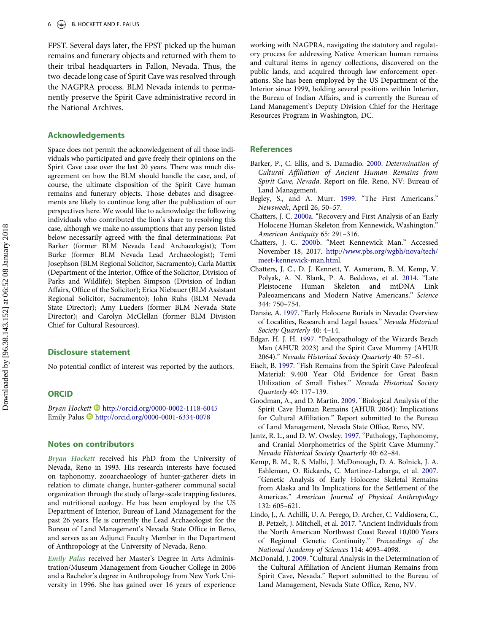<span id="page-6-0"></span>FPST. Several days later, the FPST picked up the human remains and funerary objects and returned with them to their tribal headquarters in Fallon, Nevada. Thus, the two-decade long case of Spirit Cave was resolved through the NAGPRA process. BLM Nevada intends to permanently preserve the Spirit Cave administrative record in the National Archives.

#### Acknowledgements

Space does not permit the acknowledgement of all those individuals who participated and gave freely their opinions on the Spirit Cave case over the last 20 years. There was much disagreement on how the BLM should handle the case, and, of course, the ultimate disposition of the Spirit Cave human remains and funerary objects. Those debates and disagreements are likely to continue long after the publication of our perspectives here. We would like to acknowledge the following individuals who contributed the lion's share to resolving this case, although we make no assumptions that any person listed below necessarily agreed with the final determinations: Pat Barker (former BLM Nevada Lead Archaeologist); Tom Burke (former BLM Nevada Lead Archaeologist); Temi Josephson (BLM Regional Solicitor, Sacramento); Carla Mattix (Department of the Interior, Office of the Solicitor, Division of Parks and Wildlife); Stephen Simpson (Division of Indian Affairs, Office of the Solicitor); Erica Niebauer (BLM Assistant Regional Solicitor, Sacramento); John Ruhs (BLM Nevada State Director); Amy Lueders (former BLM Nevada State Director); and Carolyn McClellan (former BLM Division Chief for Cultural Resources).

#### Disclosure statement

No potential conflict of interest was reported by the authors.

### **ORCID**

Bryan Hockett D <http://orcid.org/0000-0002-1118-6045> Emily Palus D <http://orcid.org/0000-0001-6334-0078>

## Notes on contributors

Bryan Hockett received his PhD from the University of Nevada, Reno in 1993. His research interests have focused on taphonomy, zooarchaeology of hunter-gatherer diets in relation to climate change, hunter-gatherer communal social organization through the study of large-scale trapping features, and nutritional ecology. He has been employed by the US Department of Interior, Bureau of Land Management for the past 26 years. He is currently the Lead Archaeologist for the Bureau of Land Management's Nevada State Office in Reno, and serves as an Adjunct Faculty Member in the Department of Anthropology at the University of Nevada, Reno.

Emily Palus received her Master's Degree in Arts Administration/Museum Management from Goucher College in 2006 and a Bachelor's degree in Anthropology from New York University in 1996. She has gained over 16 years of experience working with NAGPRA, navigating the statutory and regulatory process for addressing Native American human remains and cultural items in agency collections, discovered on the public lands, and acquired through law enforcement operations. She has been employed by the US Department of the Interior since 1999, holding several positions within Interior, the Bureau of Indian Affairs, and is currently the Bureau of Land Management's Deputy Division Chief for the Heritage Resources Program in Washington, DC.

#### References

- Barker, P., C. Ellis, and S. Damadio. [2000](#page-4-0). Determination of Cultural Affiliation of Ancient Human Remains from Spirit Cave, Nevada. Report on file. Reno, NV: Bureau of Land Management.
- Begley, S., and A. Murr. [1999](#page-2-0). "The First Americans." Newsweek, April 26, 50–57.
- Chatters, J. C. [2000a](#page-2-0). "Recovery and First Analysis of an Early Holocene Human Skeleton from Kennewick, Washington." American Antiquity 65: 291–316.
- Chatters, J. C. [2000b](#page-2-0). "Meet Kennewick Man." Accessed November 18, 2017. [http://www.pbs.org/wgbh/nova/tech/](http://www.pbs.org/wgbh/nova/tech/meet-kennewick-man.html) [meet-kennewick-man.html.](http://www.pbs.org/wgbh/nova/tech/meet-kennewick-man.html)
- Chatters, J. C., D. J. Kennett, Y. Asmerom, B. M. Kemp, V. Polyak, A. N. Blank, P. A. Beddows, et al. [2014.](#page-4-0) "Late Pleistocene Human Skeleton and mtDNA Link Paleoamericans and Modern Native Americans." Science 344: 750–754.
- Dansie, A. [1997](#page-1-0). "Early Holocene Burials in Nevada: Overview of Localities, Research and Legal Issues." Nevada Historical Society Quarterly 40: 4–14.
- Edgar, H. J. H. [1997](#page-2-0). "Paleopathology of the Wizards Beach Man (AHUR 2023) and the Spirit Cave Mummy (AHUR 2064)." Nevada Historical Society Quarterly 40: 57–61.
- Eiselt, B. [1997.](#page-2-0) "Fish Remains from the Spirit Cave Paleofecal Material: 9,400 Year Old Evidence for Great Basin Utilization of Small Fishes." Nevada Historical Society Quarterly 40: 117–139.
- Goodman, A., and D. Martin. [2009](#page-4-0). "Biological Analysis of the Spirit Cave Human Remains (AHUR 2064): Implications for Cultural Affiliation." Report submitted to the Bureau of Land Management, Nevada State Office, Reno, NV.
- Jantz, R. L., and D. W. Owsley. [1997](#page-2-0). "Pathology, Taphonomy, and Cranial Morphometrics of the Spirit Cave Mummy." Nevada Historical Society Quarterly 40: 62–84.
- Kemp, B. M., R. S. Malhi, J. McDonough, D. A. Bolnick, J. A. Eshleman, O. Rickards, C. Martinez-Labarga, et al. [2007](#page-4-0). "Genetic Analysis of Early Holocene Skeletal Remains from Alaska and Its Implications for the Settlement of the Americas." American Journal of Physical Anthropology 132: 605–621.
- Lindo, J., A. Achilli, U. A. Perego, D. Archer, C. Valdiosera, C., B. Petzelt, J. Mitchell, et al. [2017](#page-5-0). "Ancient Individuals from the North American Northwest Coast Reveal 10,000 Years of Regional Genetic Continuity." Proceedings of the National Academy of Sciences 114: 4093–4098.
- McDonald, J. [2009](#page-4-0). "Cultural Analysis in the Determination of the Cultural Affiliation of Ancient Human Remains from Spirit Cave, Nevada." Report submitted to the Bureau of Land Management, Nevada State Office, Reno, NV.